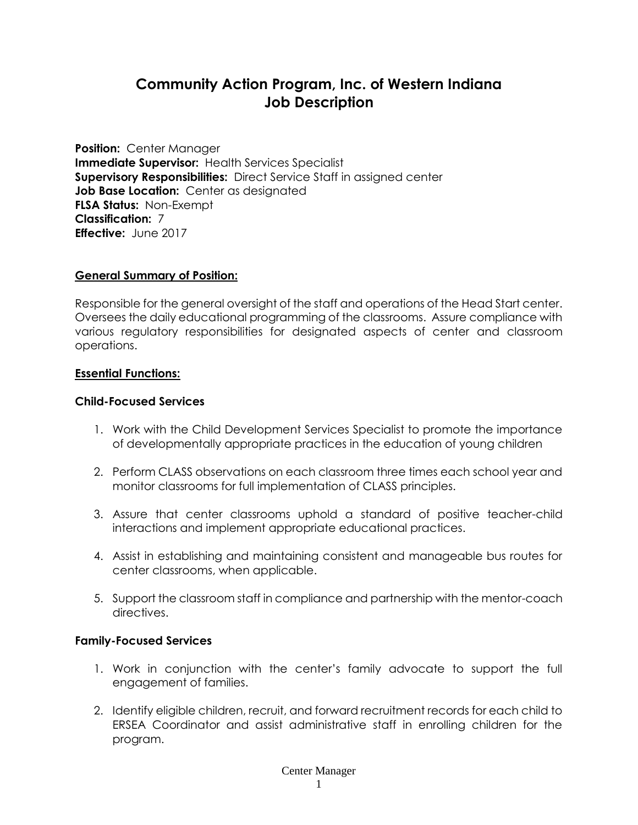# **Community Action Program, Inc. of Western Indiana Job Description**

**Position:** Center Manager **Immediate Supervisor:** Health Services Specialist **Supervisory Responsibilities:** Direct Service Staff in assigned center **Job Base Location:** Center as designated **FLSA Status:** Non-Exempt **Classification:** 7 **Effective:** June 2017

#### **General Summary of Position:**

Responsible for the general oversight of the staff and operations of the Head Start center. Oversees the daily educational programming of the classrooms. Assure compliance with various regulatory responsibilities for designated aspects of center and classroom operations.

### **Essential Functions:**

### **Child-Focused Services**

- 1. Work with the Child Development Services Specialist to promote the importance of developmentally appropriate practices in the education of young children
- 2. Perform CLASS observations on each classroom three times each school year and monitor classrooms for full implementation of CLASS principles.
- 3. Assure that center classrooms uphold a standard of positive teacher-child interactions and implement appropriate educational practices.
- 4. Assist in establishing and maintaining consistent and manageable bus routes for center classrooms, when applicable.
- 5. Support the classroom staff in compliance and partnership with the mentor-coach directives.

## **Family-Focused Services**

- 1. Work in conjunction with the center's family advocate to support the full engagement of families.
- 2. Identify eligible children, recruit, and forward recruitment records for each child to ERSEA Coordinator and assist administrative staff in enrolling children for the program.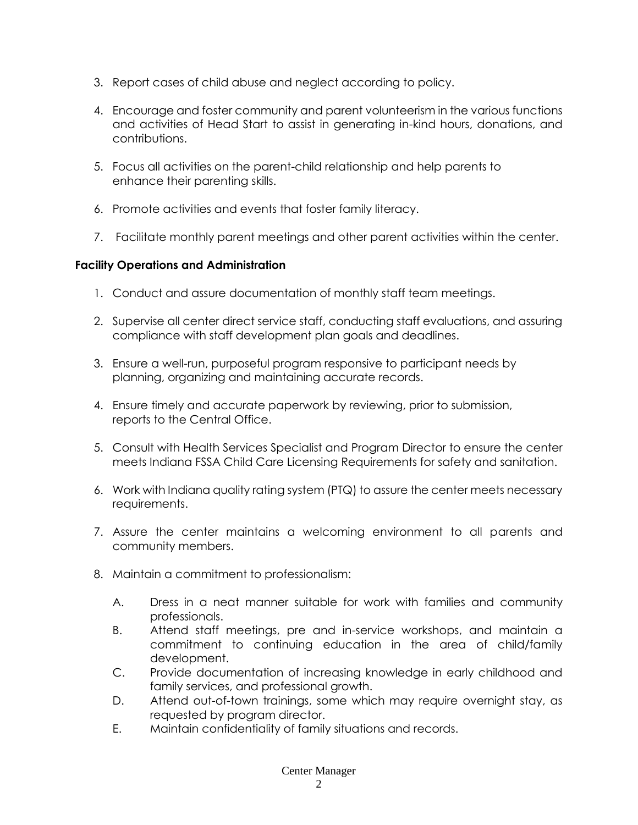- 3. Report cases of child abuse and neglect according to policy.
- 4. Encourage and foster community and parent volunteerism in the various functions and activities of Head Start to assist in generating in-kind hours, donations, and contributions.
- 5. Focus all activities on the parent-child relationship and help parents to enhance their parenting skills.
- 6. Promote activities and events that foster family literacy.
- 7. Facilitate monthly parent meetings and other parent activities within the center.

# **Facility Operations and Administration**

- 1. Conduct and assure documentation of monthly staff team meetings.
- 2. Supervise all center direct service staff, conducting staff evaluations, and assuring compliance with staff development plan goals and deadlines.
- 3. Ensure a well-run, purposeful program responsive to participant needs by planning, organizing and maintaining accurate records.
- 4. Ensure timely and accurate paperwork by reviewing, prior to submission, reports to the Central Office.
- 5. Consult with Health Services Specialist and Program Director to ensure the center meets Indiana FSSA Child Care Licensing Requirements for safety and sanitation.
- 6. Work with Indiana quality rating system (PTQ) to assure the center meets necessary requirements.
- 7. Assure the center maintains a welcoming environment to all parents and community members.
- 8. Maintain a commitment to professionalism:
	- A. Dress in a neat manner suitable for work with families and community professionals.
	- B. Attend staff meetings, pre and in-service workshops, and maintain a commitment to continuing education in the area of child/family development.
	- C. Provide documentation of increasing knowledge in early childhood and family services, and professional growth.
	- D. Attend out-of-town trainings, some which may require overnight stay, as requested by program director.
	- E. Maintain confidentiality of family situations and records.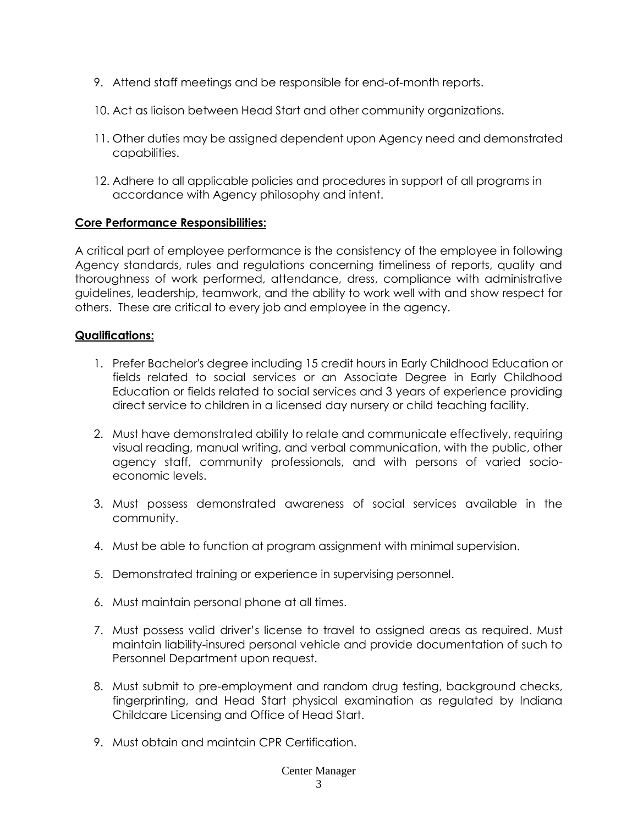- 9. Attend staff meetings and be responsible for end-of-month reports.
- 10. Act as liaison between Head Start and other community organizations.
- 11. Other duties may be assigned dependent upon Agency need and demonstrated capabilities.
- 12. Adhere to all applicable policies and procedures in support of all programs in accordance with Agency philosophy and intent.

## **Core Performance Responsibilities:**

A critical part of employee performance is the consistency of the employee in following Agency standards, rules and regulations concerning timeliness of reports, quality and thoroughness of work performed, attendance, dress, compliance with administrative guidelines, leadership, teamwork, and the ability to work well with and show respect for others. These are critical to every job and employee in the agency.

# **Qualifications:**

- 1. Prefer Bachelor's degree including 15 credit hours in Early Childhood Education or fields related to social services or an Associate Degree in Early Childhood Education or fields related to social services and 3 years of experience providing direct service to children in a licensed day nursery or child teaching facility.
- 2. Must have demonstrated ability to relate and communicate effectively, requiring visual reading, manual writing, and verbal communication, with the public, other agency staff, community professionals, and with persons of varied socioeconomic levels.
- 3. Must possess demonstrated awareness of social services available in the community.
- 4. Must be able to function at program assignment with minimal supervision.
- 5. Demonstrated training or experience in supervising personnel.
- 6. Must maintain personal phone at all times.
- 7. Must possess valid driver's license to travel to assigned areas as required. Must maintain liability-insured personal vehicle and provide documentation of such to Personnel Department upon request.
- 8. Must submit to pre-employment and random drug testing, background checks, fingerprinting, and Head Start physical examination as regulated by Indiana Childcare Licensing and Office of Head Start.
- 9. Must obtain and maintain CPR Certification.